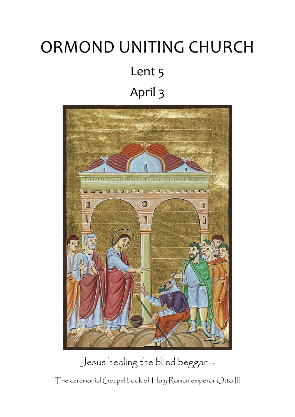# ORMOND UNITING CHURCH Lent 5 April 3



Jesus healing the blind beggar –

The ceremonial Gospel book of Holy Roman emperor Otto III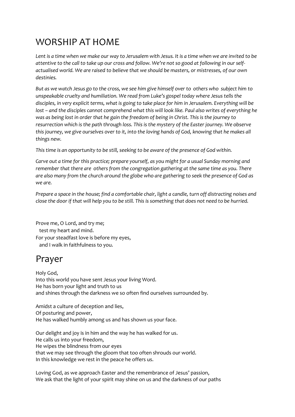## WORSHIP AT HOME

*Lent is a time when we make our way to Jerusalem with Jesus. It is a time when we are invited to be attentive to the call to take up our cross and follow. We're not so good at following in our selfactualised world. We are raised to believe that we should be masters, or mistresses, of our own destinies.* 

*But as we watch Jesus go to the cross, we see him give himself over to others who subject him to unspeakable cruelty and humiliation. We read from Luke's gospel today where Jesus tells the disciples, in very explicit terms, what is going to take place for him in Jerusalem. Everything will be lost – and the disciples cannot comprehend what this will look like. Paul also writes of everything he was as being lost in order that he gain the freedom of being in Christ. This is the journey to resurrection which is the path through loss. This is the mystery of the Easter journey. We observe this journey, we give ourselves over to it, into the loving hands of God, knowing that he makes all things new.*

*This time is an opportunity to be still, seeking to be aware of the presence of God within.*

*Carve out a time for this practice; prepare yourself, as you might for a usual Sunday morning and remember that there are others from the congregation gathering at the same time as you. There are also many from the church around the globe who are gathering to seek the presence of God as we are.*

*Prepare a space in the house; find a comfortable chair, light a candle, turn off distracting noises and close the door if that will help you to be still. This is something that does not need to be hurried.*

Prove me, O Lord, and try me; test my heart and mind. For your steadfast love is before my eyes, and I walk in faithfulness to you.

## Prayer

Holy God, Into this world you have sent Jesus your living Word. He has born your light and truth to us and shines through the darkness we so often find ourselves surrounded by.

Amidst a culture of deception and lies, Of posturing and power, He has walked humbly among us and has shown us your face.

Our delight and joy is in him and the way he has walked for us. He calls us into your freedom, He wipes the blindness from our eyes that we may see through the gloom that too often shrouds our world. In this knowledge we rest in the peace he offers us.

Loving God, as we approach Easter and the remembrance of Jesus' passion, We ask that the light of your spirit may shine on us and the darkness of our paths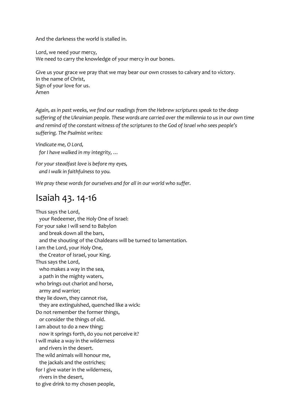And the darkness the world is stalled in.

Lord, we need your mercy, We need to carry the knowledge of your mercy in our bones.

Give us your grace we pray that we may bear our own crosses to calvary and to victory. In the name of Christ, Sign of your love for us. Amen

*Again, as in past weeks, we find our readings from the Hebrew scriptures speak to the deep suffering of the Ukrainian people. These words are carried over the millennia to us in our own time and remind of the constant witness of the scriptures to the God of Israel who sees people's suffering. The Psalmist writes:*

*Vindicate me, O Lord, for I have walked in my integrity, …*

*For your steadfast love is before my eyes, and I walk in faithfulness to you.*

*We pray these words for ourselves and for all in our world who suffer.*

## Isaiah 43. 14-16

Thus says the Lord, your Redeemer, the Holy One of Israel: For your sake I will send to Babylon and break down all the bars, and the shouting of the Chaldeans will be turned to lamentation. I am the Lord, your Holy One, the Creator of Israel, your King. Thus says the Lord, who makes a way in the sea, a path in the mighty waters, who brings out chariot and horse, army and warrior; they lie down, they cannot rise, they are extinguished, quenched like a wick: Do not remember the former things, or consider the things of old. I am about to do a new thing; now it springs forth, do you not perceive it? I will make a way in the wilderness and rivers in the desert. The wild animals will honour me, the jackals and the ostriches; for I give water in the wilderness, rivers in the desert, to give drink to my chosen people,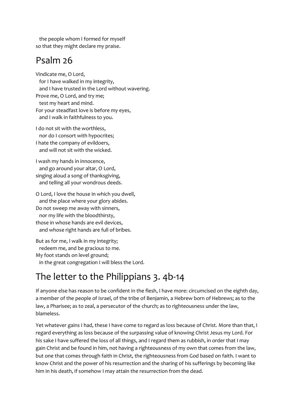the people whom I formed for myself so that they might declare my praise.

## Psalm 26

Vindicate me, O Lord, for I have walked in my integrity, and I have trusted in the Lord without wavering. Prove me, O Lord, and try me; test my heart and mind. For your steadfast love is before my eyes, and I walk in faithfulness to you.

I do not sit with the worthless, nor do I consort with hypocrites; I hate the company of evildoers,

and will not sit with the wicked.

I wash my hands in innocence, and go around your altar, O Lord, singing aloud a song of thanksgiving, and telling all your wondrous deeds.

O Lord, I love the house in which you dwell, and the place where your glory abides. Do not sweep me away with sinners, nor my life with the bloodthirsty, those in whose hands are evil devices, and whose right hands are full of bribes.

But as for me, I walk in my integrity; redeem me, and be gracious to me. My foot stands on level ground; in the great congregation I will bless the Lord.

# The letter to the Philippians 3. 4b-14

If anyone else has reason to be confident in the flesh, I have more: circumcised on the eighth day, a member of the people of Israel, of the tribe of Benjamin, a Hebrew born of Hebrews; as to the law, a Pharisee; as to zeal, a persecutor of the church; as to righteousness under the law, blameless.

Yet whatever gains I had, these I have come to regard as loss because of Christ. More than that, I regard everything as loss because of the surpassing value of knowing Christ Jesus my Lord. For his sake I have suffered the loss of all things, and I regard them as rubbish, in order that I may gain Christ and be found in him, not having a righteousness of my own that comes from the law, but one that comes through faith in Christ, the righteousness from God based on faith. I want to know Christ and the power of his resurrection and the sharing of his sufferings by becoming like him in his death, if somehow I may attain the resurrection from the dead.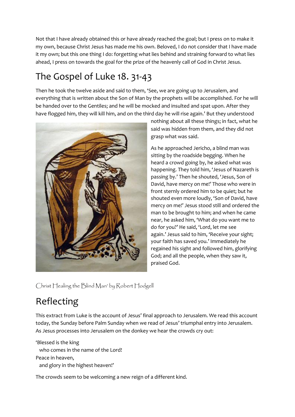Not that I have already obtained this or have already reached the goal; but I press on to make it my own, because Christ Jesus has made me his own. Beloved, I do not consider that I have made it my own; but this one thing I do: forgetting what lies behind and straining forward to what lies ahead, I press on towards the goal for the prize of the heavenly call of God in Christ Jesus.

# The Gospel of Luke 18. 31-43

Then he took the twelve aside and said to them, 'See, we are going up to Jerusalem, and everything that is written about the Son of Man by the prophets will be accomplished. For he will be handed over to the Gentiles; and he will be mocked and insulted and spat upon. After they have flogged him, they will kill him, and on the third day he will rise again.' But they understood



nothing about all these things; in fact, what he said was hidden from them, and they did not grasp what was said.

As he approached Jericho, a blind man was sitting by the roadside begging. When he heard a crowd going by, he asked what was happening. They told him, 'Jesus of Nazareth is passing by.' Then he shouted, 'Jesus, Son of David, have mercy on me!' Those who were in front sternly ordered him to be quiet; but he shouted even more loudly, 'Son of David, have mercy on me!' Jesus stood still and ordered the man to be brought to him; and when he came near, he asked him, 'What do you want me to do for you?' He said, 'Lord, let me see again.' Jesus said to him, 'Receive your sight; your faith has saved you.' Immediately he regained his sight and followed him, glorifying God; and all the people, when they saw it, praised God.

Christ Healing the Blind Man' by Robert Hodgell

# Reflecting

This extract from Luke is the account of Jesus' final approach to Jerusalem. We read this account today, the Sunday before Palm Sunday when we read of Jesus' triumphal entry into Jerusalem. As Jesus processes into Jerusalem on the donkey we hear the crowds cry out:

'Blessed is the king who comes in the name of the Lord! Peace in heaven, and glory in the highest heaven!'

The crowds seem to be welcoming a new reign of a different kind.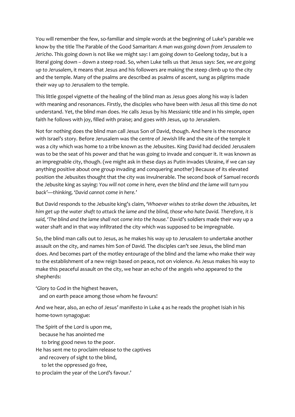You will remember the few, so-familiar and simple words at the beginning of Luke's parable we know by the title The Parable of the Good Samaritan: *A man was going down from Jerusalem to Jericho*. This going down is not like we might say: I am going down to Geelong today, but is a literal going down – down a steep road. So, when Luke tells us that Jesus says: *See, we are going up to Jerusalem*, it means that Jesus and his followers are making the steep climb up to the city and the temple. Many of the psalms are described as psalms of ascent, sung as pilgrims made their way up to Jerusalem to the temple.

This little gospel vignette of the healing of the blind man as Jesus goes along his way is laden with meaning and resonances. Firstly, the disciples who have been with Jesus all this time do not understand. Yet, the blind man does. He calls Jesus by his Messianic title and in his simple, open faith he follows with joy, filled with praise; and goes with Jesus, up to Jerusalem.

Not for nothing does the blind man call Jesus Son of David, though. And here is the resonance with Israel's story. Before Jerusalem was the centre of Jewish life and the site of the temple it was a city which was home to a tribe known as the Jebusites. King David had decided Jerusalem was to be the seat of his power and that he was going to invade and conquer it. It was known as an impregnable city, though. (we might ask in these days as Putin invades Ukraine, if we can say anything positive about one group invading and conquering another) Because of its elevated position the Jebusites thought that the city was invulnerable. The second book of Samuel records the Jebusite king as saying: *You will not come in here, even the blind and the lame will turn you back'—thinking, 'David cannot come in here.'*

But David responds to the Jebusite king's claim, *'Whoever wishes to strike down the Jebusites, let him get up the water shaft to attack the lame and the blind, those who hate David. Therefore, it is said, 'The blind and the lame shall not come into the house.'* David's soldiers made their way up a water shaft and in that way infiltrated the city which was supposed to be impregnable.

So, the blind man calls out to Jesus, as he makes his way up to Jerusalem to undertake another assault on the city, and names him Son of David. The disciples can't see Jesus, the blind man does. And becomes part of the motley entourage of the blind and the lame who make their way to the establishment of a new reign based on peace, not on violence. As Jesus makes his way to make this peaceful assault on the city, we hear an echo of the angels who appeared to the shepherds:

'Glory to God in the highest heaven, and on earth peace among those whom he favours!

And we hear, also, an echo of Jesus' manifesto in Luke 4 as he reads the prophet Isiah in his home-town synagogue:

The Spirit of the Lord is upon me, because he has anointed me to bring good news to the poor. He has sent me to proclaim release to the captives and recovery of sight to the blind, to let the oppressed go free, to proclaim the year of the Lord's favour.'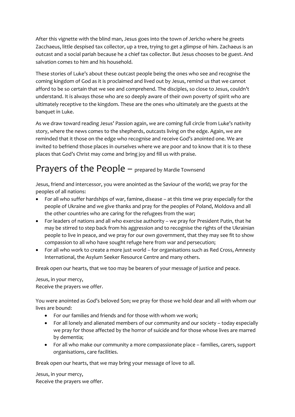After this vignette with the blind man, Jesus goes into the town of Jericho where he greets Zacchaeus, little despised tax collector, up a tree, trying to get a glimpse of him. Zachaeus is an outcast and a social pariah because he a chief tax collector. But Jesus chooses to be guest. And salvation comes to him and his household.

These stories of Luke's about these outcast people being the ones who see and recognise the coming kingdom of God as it is proclaimed and lived out by Jesus, remind us that we cannot afford to be so certain that we see and comprehend. The disciples, so close to Jesus, couldn't understand. It is always those who are so deeply aware of their own poverty of spirit who are ultimately receptive to the kingdom. These are the ones who ultimately are the guests at the banquet in Luke.

As we draw toward reading Jesus' Passion again, we are coming full circle from Luke's nativity story, where the news comes to the shepherds, outcasts living on the edge. Again, we are reminded that it those on the edge who recognise and receive God's anointed one. We are invited to befriend those places in ourselves where we are poor and to know that it is to these places that God's Christ may come and bring joy and fill us with praise.

## Prayers of the People – prepared by Mardie Townsend

Jesus, friend and intercessor, you were anointed as the Saviour of the world; we pray for the peoples of all nations:

- For all who suffer hardships of war, famine, disease at this time we pray especially for the people of Ukraine and we give thanks and pray for the peoples of Poland, Moldova and all the other countries who are caring for the refugees from the war;
- For leaders of nations and all who exercise authority we pray for President Putin, that he may be stirred to step back from his aggression and to recognise the rights of the Ukrainian people to live in peace, and we pray for our own government, that they may see fit to show compassion to all who have sought refuge here from war and persecution;
- For all who work to create a more just world for organisations such as Red Cross, Amnesty International, the Asylum Seeker Resource Centre and many others.

Break open our hearts, that we too may be bearers of your message of justice and peace.

Jesus, in your mercy, Receive the prayers we offer.

You were anointed as God's beloved Son; we pray for those we hold dear and all with whom our lives are bound:

- For our families and friends and for those with whom we work;
- For all lonely and alienated members of our community and our society today especially we pray for those affected by the horror of suicide and for those whose lives are marred by dementia;
- For all who make our community a more compassionate place families, carers, support organisations, care facilities.

Break open our hearts, that we may bring your message of love to all.

Jesus, in your mercy, Receive the prayers we offer.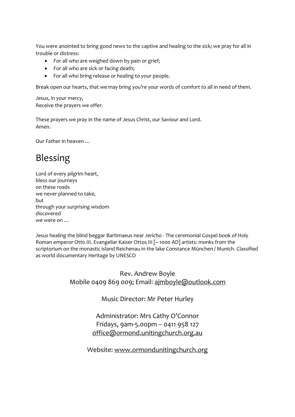You were anointed to bring good news to the captive and healing to the sick; we pray for all in trouble or distress:

- For all who are weighed down by pain or grief;
- For all who are sick or facing death;
- For all who bring release or healing to your people.

Break open our hearts, that we may bring you're your words of comfort to all in need of them.

Jesus, in your mercy, Receive the prayers we offer.

These prayers we pray in the name of Jesus Christ, our Saviour and Lord. Amen.

Our Father in heaven …

## Blessing

Lord of every pilgrim heart, bless our journeys on these roads we never planned to take, but through your surprising wisdom discovered we were on …

Jesus healing the blind beggar Bartimaeus near Jericho - The ceremonial Gospel book of Holy Roman emperor Otto III. Evangeliar Kaiser Ottos III [~ 1000 AD] artists: monks from the scriptorium on the monastic island Reichenau in the lake Constance München / Munich. Classified as world documentary Heritage by UNESCO

> Rev. Andrew Boyle Mobile 0409 869 009; Email: [ajmboyle@outlook.com](mailto:ajmboyle@outlook.com)

> > Music Director: Mr Peter Hurley

Administrator: Mrs Cathy O'Connor Fridays, 9am-5.00pm – 0411 958 127 [office@ormond.unitingchurch.org.au](mailto:office@ormond.unitingchurch.org.au)

Website: [www.ormondunitingchurch.org](http://www.ormondunitingchurch.org/)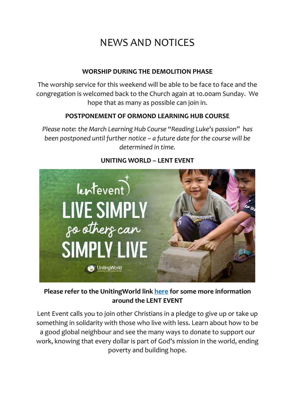# NEWS AND NOTICES

#### **WORSHIP DURING THE DEMOLITION PHASE**

The worship service for this weekend will be able to be face to face and the congregation is welcomed back to the Church again at 10.00am Sunday. We hope that as many as possible can join in.

#### **POSTPONEMENT OF ORMOND LEARNING HUB COURSE**

*Please note: the March Learning Hub Course "Reading Luke's passion" has been postponed until further notice – a future date for the course will be determined in time.* 



#### **UNITING WORLD – LENT EVENT**

#### **Please refer to the UnitingWorld link [here](https://unitingworld.org.au/two-ways-to-learn-and-grow-in-2022/) for some more information around the LENT EVENT**

Lent Event calls you to join other Christians in a pledge to give up or take up something in solidarity with those who live with less. Learn about how to be a good global neighbour and see the many ways to donate to support our work, knowing that every dollar is part of God's mission in the world, ending poverty and building hope.